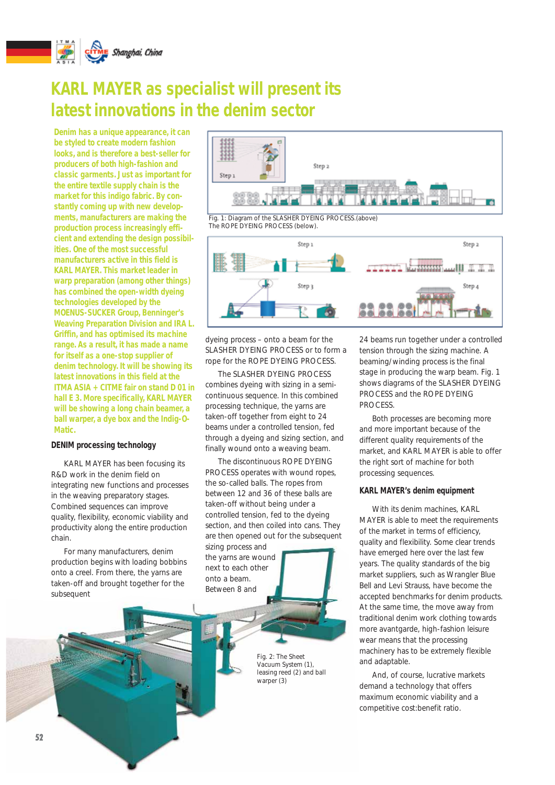

# **KARL MAYER as specialist will present its latest innovations in the denim sector**

**Denim has a unique appearance, it can be styled to create modern fashion looks, and is therefore a best-seller for producers of both high-fashion and classic garments. Just as important for the entire textile supply chain is the market for this indigo fabric. By constantly coming up with new developments, manufacturers are making the production process increasingly efficient and extending the design possibilities. One of the most successful manufacturers active in this field is KARL MAYER. This market leader in warp preparation (among other things) has combined the open-width dyeing technologies developed by the MOENUS-SUCKER Group, Benninger's Weaving Preparation Division and IRA L. Griffin, and has optimised its machine range. As a result, it has made a name for itself as a one-stop supplier of denim technology. It will be showing its latest innovations in this field at the ITMA ASIA + CITME fair on stand D 01 in hall E 3. More specifically, KARL MAYER will be showing a long chain beamer, a ball warper, a dye box and the Indig-O-Matic.**

## **DENIM processing technology**

KARL MAYER has been focusing its R&D work in the denim field on integrating new functions and processes in the weaving preparatory stages. Combined sequences can improve quality, flexibility, economic viability and productivity along the entire production chain.

For many manufacturers, denim production begins with loading bobbins onto a creel. From there, the yarns are taken-off and brought together for the subsequent



*Fig. 1: Diagram of the SLASHER DYEING PROCESS.(above) The ROPE DYEING PROCESS (below).*



dyeing process – onto a beam for the SLASHER DYEING PROCESS or to form a rope for the ROPE DYEING PROCESS.

The SLASHER DYFING PROCESS combines dyeing with sizing in a semicontinuous sequence. In this combined processing technique, the yarns are taken-off together from eight to 24 beams under a controlled tension, fed through a dyeing and sizing section, and finally wound onto a weaving beam.

The discontinuous ROPE DYEING PROCESS operates with wound ropes, the so-called balls. The ropes from between 12 and 36 of these balls are taken-off without being under a controlled tension, fed to the dyeing section, and then coiled into cans. They are then opened out for the subsequent sizing process and the yarns are wound next to each other onto a beam. Between 8 and

> *Fig. 2: The Sheet Vacuum System (1), leasing reed (2) and ball warper (3)*

24 beams run together under a controlled tension through the sizing machine. A beaming/winding process is the final stage in producing the warp beam. Fig. 1 shows diagrams of the SLASHER DYEING PROCESS and the ROPE DYEING PROCESS.

Both processes are becoming more and more important because of the different quality requirements of the market, and KARL MAYER is able to offer the right sort of machine for both processing sequences.

# **KARL MAYER's denim equipment**

With its denim machines, KARL MAYER is able to meet the requirements of the market in terms of efficiency, quality and flexibility. Some clear trends have emerged here over the last few years. The quality standards of the big market suppliers, such as Wrangler Blue Bell and Levi Strauss, have become the accepted benchmarks for denim products. At the same time, the move away from traditional denim work clothing towards more avantgarde, high-fashion leisure wear means that the processing machinery has to be extremely flexible and adaptable.

And, of course, lucrative markets demand a technology that offers maximum economic viability and a competitive cost:benefit ratio.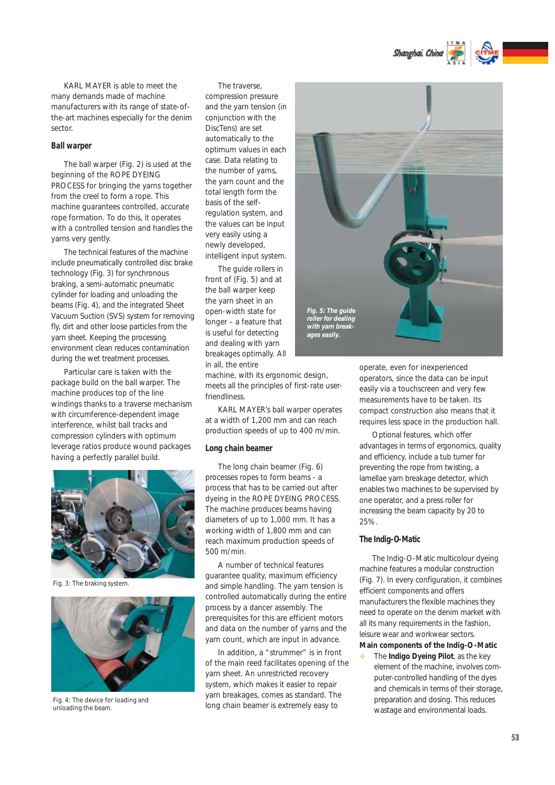Shanghai, China

KARL MAYER is able to meet the many demands made of machine manufacturers with its range of state-ofthe-art machines especially for the denim sector.

### **Ball warper**

The ball warper (Fig. 2) is used at the beginning of the ROPE DYEING PROCESS for bringing the yarns together from the creel to form a rope. This machine guarantees controlled, accurate rope formation. To do this, it operates with a controlled tension and handles the yarns very gently.

The technical features of the machine include pneumatically controlled disc brake technology (Fig. 3) for synchronous braking, a semi-automatic pneumatic cylinder for loading and unloading the beams (Fig. 4), and the integrated Sheet Vacuum Suction (SVS) system for removing fly, dirt and other loose particles from the yarn sheet. Keeping the processing environment clean reduces contamination during the wet treatment processes.

Particular care is taken with the package build on the ball warper. The machine produces top of the line windings thanks to a traverse mechanism with circumference-dependent image interference, whilst ball tracks and compression cylinders with optimum leverage ratios produce wound packages having a perfectly parallel build.



*Fig. 3: The braking system.*



*Fig. 4: The device for loading and unloading the beam.*

The traverse, compression pressure and the yarn tension (in conjunction with the DiscTens) are set automatically to the optimum values in each case. Data relating to the number of yarns, the yarn count and the total length form the basis of the selfregulation system, and the values can be input very easily using a newly developed, intelligent input system.

The guide rollers in front of (Fig. 5) and at the ball warper keep the yarn sheet in an open-width state for longer – a feature that is useful for detecting and dealing with yarn breakages optimally. All in all, the entire

machine, with its ergonomic design, meets all the principles of first-rate userfriendlingss

KARL MAYER's ball warper operates at a width of 1,200 mm and can reach production speeds of up to 400 m/min.

#### **Long chain beamer**

The long chain beamer (Fig. 6) processes ropes to form beams - a process that has to be carried out after dyeing in the ROPE DYEING PROCESS. The machine produces beams having diameters of up to 1,000 mm. It has a working width of 1,800 mm and can reach maximum production speeds of 500 m/min.

A number of technical features guarantee quality, maximum efficiency and simple handling. The yarn tension is controlled automatically during the entire process by a dancer assembly. The prerequisites for this are efficient motors and data on the number of yarns and the yarn count, which are input in advance.

In addition, a "strummer" is in front of the main reed facilitates opening of the yarn sheet. An unrestricted recovery system, which makes it easier to repair yarn breakages, comes as standard. The long chain beamer is extremely easy to



operate, even for inexperienced operators, since the data can be input easily via a touchscreen and very few measurements have to be taken. Its compact construction also means that it requires less space in the production hall.

Optional features, which offer advantages in terms of ergonomics, quality and efficiency, include a tub turner for preventing the rope from twisting, a lamellae yarn breakage detector, which enables two machines to be supervised by one operator, and a press roller for increasing the beam capacity by 20 to 25%.

### **The Indig-O-Matic**

The Indig-O-Matic multicolour dyeing machine features a modular construction (Fig. 7). In every configuration, it combines efficient components and offers manufacturers the flexible machines they need to operate on the denim market with all its many requirements in the fashion, leisure wear and workwear sectors.

**Main components of the Indig-O-Matic** 

- The **Indigo Dyeing Pilot**, as the key element of the machine, involves computer-controlled handling of the dyes and chemicals in terms of their storage, preparation and dosing. This reduces wastage and environmental loads.